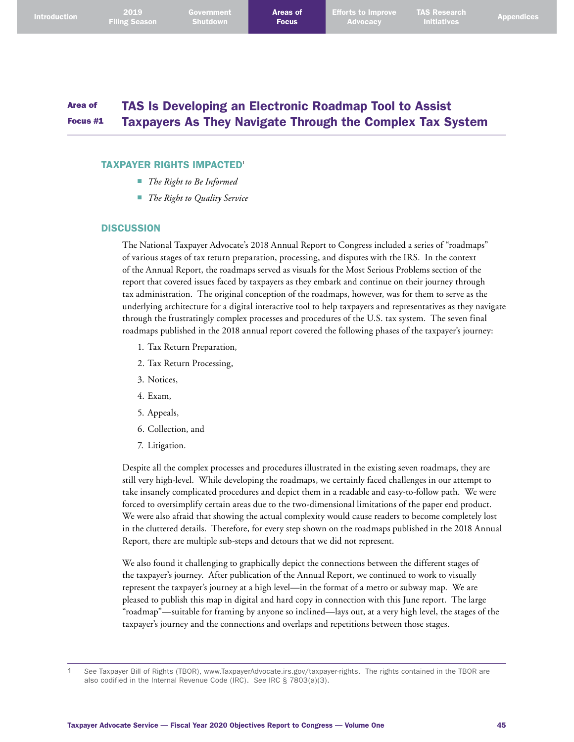#### Area of Focus #1 TAS Is Developing an Electronic Roadmap Tool to Assist Taxpayers As They Navigate Through the Complex Tax System

### TAXPAYER RIGHTS IMPACTED<sup>1</sup>

- *The Right to Be Informed*
- *The Right to Quality Service*

### **DISCUSSION**

The National Taxpayer Advocate's 2018 Annual Report to Congress included a series of "roadmaps" of various stages of tax return preparation, processing, and disputes with the IRS. In the context of the Annual Report, the roadmaps served as visuals for the Most Serious Problems section of the report that covered issues faced by taxpayers as they embark and continue on their journey through tax administration. The original conception of the roadmaps, however, was for them to serve as the underlying architecture for a digital interactive tool to help taxpayers and representatives as they navigate through the frustratingly complex processes and procedures of the U.S. tax system. The seven final roadmaps published in the 2018 annual report covered the following phases of the taxpayer's journey:

- 1. Tax Return Preparation,
- 2. Tax Return Processing,
- 3. Notices,
- 4. Exam,
- 5. Appeals,
- 6. Collection, and
- 7. Litigation.

Despite all the complex processes and procedures illustrated in the existing seven roadmaps, they are still very high-level. While developing the roadmaps, we certainly faced challenges in our attempt to take insanely complicated procedures and depict them in a readable and easy-to-follow path. We were forced to oversimplify certain areas due to the two-dimensional limitations of the paper end product. We were also afraid that showing the actual complexity would cause readers to become completely lost in the cluttered details. Therefore, for every step shown on the roadmaps published in the 2018 Annual Report, there are multiple sub-steps and detours that we did not represent.

We also found it challenging to graphically depict the connections between the different stages of the taxpayer's journey. After publication of the Annual Report, we continued to work to visually represent the taxpayer's journey at a high level—in the format of a metro or subway map. We are pleased to publish this map in digital and hard copy in connection with this June report. The large "roadmap"—suitable for framing by anyone so inclined—lays out, at a very high level, the stages of the taxpayer's journey and the connections and overlaps and repetitions between those stages.

<sup>1</sup> *See* Taxpayer Bill of Rights (TBOR), [www.TaxpayerAdvocate.irs.gov/taxpayer-rights](http://www.TaxpayerAdvocate.irs.gov/taxpayer-rights). The rights contained in the TBOR are also codified in the Internal Revenue Code (IRC). *See* IRC § 7803(a)(3).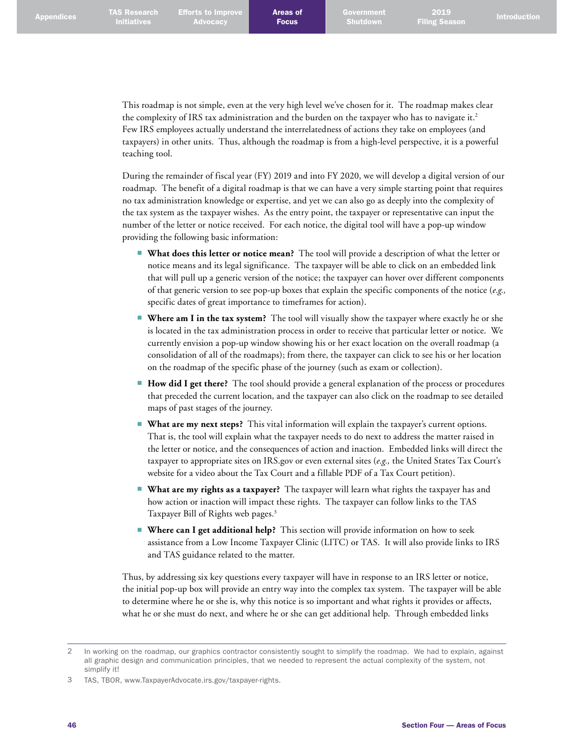This roadmap is not simple, even at the very high level we've chosen for it. The roadmap makes clear the complexity of IRS tax administration and the burden on the taxpayer who has to navigate it. 2 Few IRS employees actually understand the interrelatedness of actions they take on employees (and taxpayers) in other units. Thus, although the roadmap is from a high-level perspective, it is a powerful teaching tool.

During the remainder of fiscal year (FY) 2019 and into FY 2020, we will develop a digital version of our roadmap. The benefit of a digital roadmap is that we can have a very simple starting point that requires no tax administration knowledge or expertise, and yet we can also go as deeply into the complexity of the tax system as the taxpayer wishes. As the entry point, the taxpayer or representative can input the number of the letter or notice received. For each notice, the digital tool will have a pop-up window providing the following basic information:

- **What does this letter or notice mean?** The tool will provide a description of what the letter or notice means and its legal significance. The taxpayer will be able to click on an embedded link that will pull up a generic version of the notice; the taxpayer can hover over different components of that generic version to see pop-up boxes that explain the specific components of the notice (*e.g.,*  specific dates of great importance to timeframes for action).
- **Where am I in the tax system?** The tool will visually show the taxpayer where exactly he or she is located in the tax administration process in order to receive that particular letter or notice. We currently envision a pop-up window showing his or her exact location on the overall roadmap (a consolidation of all of the roadmaps); from there, the taxpayer can click to see his or her location on the roadmap of the specific phase of the journey (such as exam or collection).
- **How did I get there?** The tool should provide a general explanation of the process or procedures that preceded the current location, and the taxpayer can also click on the roadmap to see detailed maps of past stages of the journey.
- **What are my next steps?** This vital information will explain the taxpayer's current options. That is, the tool will explain what the taxpayer needs to do next to address the matter raised in the letter or notice, and the consequences of action and inaction. Embedded links will direct the taxpayer to appropriate sites on IRS.gov or even external sites (*e.g.,* the United States Tax Court's website for a video about the Tax Court and a fillable PDF of a Tax Court petition).
- **What are my rights as a taxpayer?** The taxpayer will learn what rights the taxpayer has and how action or inaction will impact these rights. The taxpayer can follow links to the TAS Taxpayer Bill of Rights web pages. 3
- **Where can I get additional help?** This section will provide information on how to seek assistance from a Low Income Taxpayer Clinic (LITC) or TAS. It will also provide links to IRS and TAS guidance related to the matter.

Thus, by addressing six key questions every taxpayer will have in response to an IRS letter or notice, the initial pop-up box will provide an entry way into the complex tax system. The taxpayer will be able to determine where he or she is, why this notice is so important and what rights it provides or affects, what he or she must do next, and where he or she can get additional help. Through embedded links

<sup>2</sup> In working on the roadmap, our graphics contractor consistently sought to simplify the roadmap. We had to explain, against all graphic design and communication principles, that we needed to represent the actual complexity of the system, not simplify it!

<sup>3</sup> TAS, TBOR, [www.TaxpayerAdvocate.irs.gov/taxpayer-rights](http://www.TaxpayerAdvocate.irs.gov/taxpayer-rights).